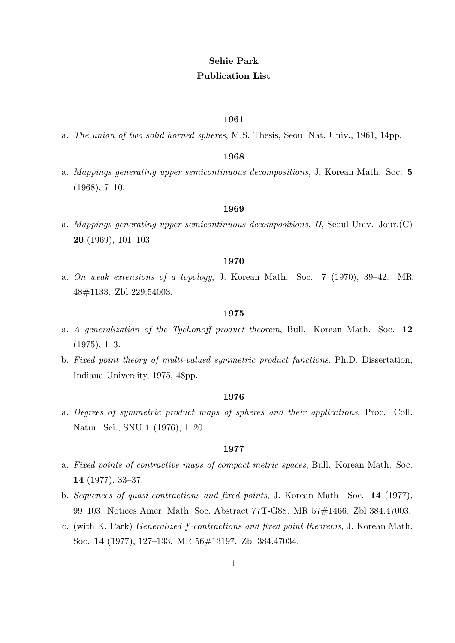# **Sehie Park Publication List**

#### **1961**

a. *The union of two solid horned spheres*, M.S. Thesis, Seoul Nat. Univ., 1961, 14pp.

## **1968**

a. *Mappings generating upper semicontinuous decompositions*, J. Korean Math. Soc. **5** (1968), 7–10.

## **1969**

a. *Mappings generating upper semicontinuous decompositions, II*, Seoul Univ. Jour.(C) **20** (1969), 101–103.

#### **1970**

a. *On weak extensions of a topology*, J. Korean Math. Soc. **7** (1970), 39–42. MR 48#1133. Zbl 229.54003.

# **1975**

- a. *A generalization of the Tychonoff product theorem*, Bull. Korean Math. Soc. **12**  $(1975), 1-3.$
- b. *Fixed point theory of multi-valued symmetric product functions*, Ph.D. Dissertation, Indiana University, 1975, 48pp.

## **1976**

a. *Degrees of symmetric product maps of spheres and their applications*, Proc. Coll. Natur. Sci., SNU **1** (1976), 1–20.

- a. *Fixed points of contractive maps of compact metric spaces*, Bull. Korean Math. Soc. **14** (1977), 33–37.
- b. *Sequences of quasi-contractions and fixed points*, J. Korean Math. Soc. **14** (1977), 99–103. Notices Amer. Math. Soc. Abstract 77T-G88. MR 57#1466. Zbl 384.47003.
- c. (with K. Park) *Generalized f-contractions and fixed point theorems*, J. Korean Math. Soc. **14** (1977), 127–133. MR 56#13197. Zbl 384.47034.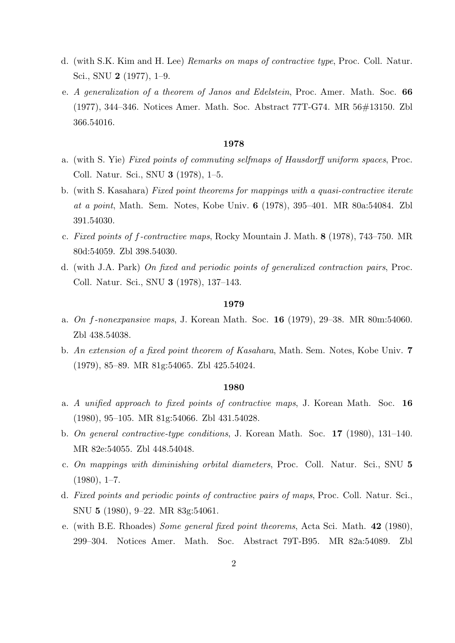- d. (with S.K. Kim and H. Lee) *Remarks on maps of contractive type*, Proc. Coll. Natur. Sci., SNU **2** (1977), 1–9.
- e. *A generalization of a theorem of Janos and Edelstein*, Proc. Amer. Math. Soc. **66** (1977), 344–346. Notices Amer. Math. Soc. Abstract 77T-G74. MR 56#13150. Zbl 366.54016.

- a. (with S. Yie) *Fixed points of commuting selfmaps of Hausdorff uniform spaces*, Proc. Coll. Natur. Sci., SNU **3** (1978), 1–5.
- b. (with S. Kasahara) *Fixed point theorems for mappings with a quasi-contractive iterate at a point*, Math. Sem. Notes, Kobe Univ. **6** (1978), 395–401. MR 80a:54084. Zbl 391.54030.
- c. *Fixed points of f-contractive maps*, Rocky Mountain J. Math. **8** (1978), 743–750. MR 80d:54059. Zbl 398.54030.
- d. (with J.A. Park) *On fixed and periodic points of generalized contraction pairs*, Proc. Coll. Natur. Sci., SNU **3** (1978), 137–143.

#### **1979**

- a. *On f-nonexpansive maps*, J. Korean Math. Soc. **16** (1979), 29–38. MR 80m:54060. Zbl 438.54038.
- b. *An extension of a fixed point theorem of Kasahara*, Math. Sem. Notes, Kobe Univ. **7** (1979), 85–89. MR 81g:54065. Zbl 425.54024.

- a. *A unified approach to fixed points of contractive maps*, J. Korean Math. Soc. **16** (1980), 95–105. MR 81g:54066. Zbl 431.54028.
- b. *On general contractive-type conditions*, J. Korean Math. Soc. **17** (1980), 131–140. MR 82e:54055. Zbl 448.54048.
- c. *On mappings with diminishing orbital diameters*, Proc. Coll. Natur. Sci., SNU **5**  $(1980), 1-7.$
- d. *Fixed points and periodic points of contractive pairs of maps*, Proc. Coll. Natur. Sci., SNU **5** (1980), 9–22. MR 83g:54061.
- e. (with B.E. Rhoades) *Some general fixed point theorems*, Acta Sci. Math. **42** (1980), 299–304. Notices Amer. Math. Soc. Abstract 79T-B95. MR 82a:54089. Zbl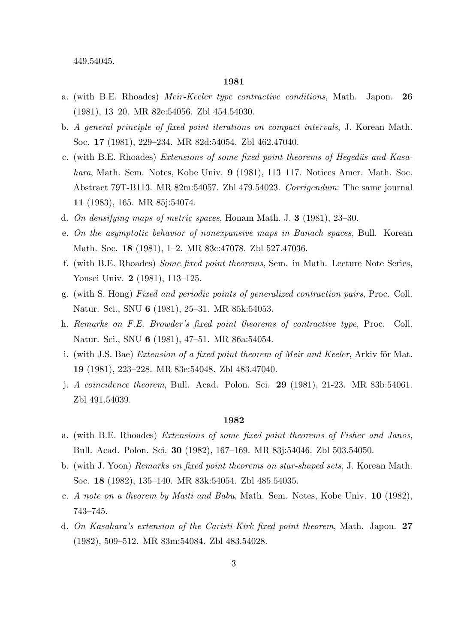449.54045.

#### **1981**

- a. (with B.E. Rhoades) *Meir-Keeler type contractive conditions*, Math. Japon. **26** (1981), 13–20. MR 82e:54056. Zbl 454.54030.
- b. *A general principle of fixed point iterations on compact intervals*, J. Korean Math. Soc. **17** (1981), 229–234. MR 82d:54054. Zbl 462.47040.
- c. (with B.E. Rhoades) *Extensions of some fixed point theorems of Hegedüs and Kasahara*, Math. Sem. Notes, Kobe Univ. **9** (1981), 113–117. Notices Amer. Math. Soc. Abstract 79T-B113. MR 82m:54057. Zbl 479.54023. *Corrigendum*: The same journal **11** (1983), 165. MR 85j:54074.
- d. *On densifying maps of metric spaces*, Honam Math. J. **3** (1981), 23–30.
- e. *On the asymptotic behavior of nonexpansive maps in Banach spaces*, Bull. Korean Math. Soc. **18** (1981), 1–2. MR 83c:47078. Zbl 527.47036.
- f. (with B.E. Rhoades) *Some fixed point theorems*, Sem. in Math. Lecture Note Series, Yonsei Univ. **2** (1981), 113–125.
- g. (with S. Hong) *Fixed and periodic points of generalized contraction pairs*, Proc. Coll. Natur. Sci., SNU **6** (1981), 25–31. MR 85k:54053.
- h. *Remarks on F.E. Browder's fixed point theorems of contractive type*, Proc. Coll. Natur. Sci., SNU **6** (1981), 47–51. MR 86a:54054.
- i. (with J.S. Bae) *Extension of a fixed point theorem of Meir and Keeler*, Arkiv för Mat. **19** (1981), 223–228. MR 83e:54048. Zbl 483.47040.
- j. *A coincidence theorem*, Bull. Acad. Polon. Sci. **29** (1981), 21-23. MR 83b:54061. Zbl 491.54039.

- a. (with B.E. Rhoades) *Extensions of some fixed point theorems of Fisher and Janos*, Bull. Acad. Polon. Sci. **30** (1982), 167–169. MR 83j:54046. Zbl 503.54050.
- b. (with J. Yoon) *Remarks on fixed point theorems on star-shaped sets*, J. Korean Math. Soc. **18** (1982), 135–140. MR 83k:54054. Zbl 485.54035.
- c. *A note on a theorem by Maiti and Babu*, Math. Sem. Notes, Kobe Univ. **10** (1982), 743–745.
- d. *On Kasahara's extension of the Caristi-Kirk fixed point theorem*, Math. Japon. **27** (1982), 509–512. MR 83m:54084. Zbl 483.54028.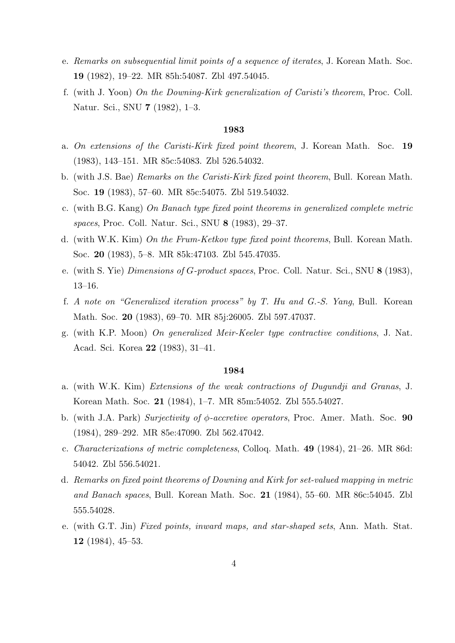- e. *Remarks on subsequential limit points of a sequence of iterates*, J. Korean Math. Soc. **19** (1982), 19–22. MR 85h:54087. Zbl 497.54045.
- f. (with J. Yoon) *On the Downing-Kirk generalization of Caristi's theorem*, Proc. Coll. Natur. Sci., SNU **7** (1982), 1–3.

- a. *On extensions of the Caristi-Kirk fixed point theorem*, J. Korean Math. Soc. **19** (1983), 143–151. MR 85c:54083. Zbl 526.54032.
- b. (with J.S. Bae) *Remarks on the Caristi-Kirk fixed point theorem*, Bull. Korean Math. Soc. **19** (1983), 57–60. MR 85c:54075. Zbl 519.54032.
- c. (with B.G. Kang) *On Banach type fixed point theorems in generalized complete metric spaces*, Proc. Coll. Natur. Sci., SNU **8** (1983), 29–37.
- d. (with W.K. Kim) *On the Frum-Ketkov type fixed point theorems*, Bull. Korean Math. Soc. **20** (1983), 5–8. MR 85k:47103. Zbl 545.47035.
- e. (with S. Yie) *Dimensions of G-product spaces*, Proc. Coll. Natur. Sci., SNU **8** (1983), 13–16.
- f. *A note on "Generalized iteration process" by T. Hu and G.-S. Yang*, Bull. Korean Math. Soc. **20** (1983), 69–70. MR 85j:26005. Zbl 597.47037.
- g. (with K.P. Moon) *On generalized Meir-Keeler type contractive conditions*, J. Nat. Acad. Sci. Korea **22** (1983), 31–41.

- a. (with W.K. Kim) *Extensions of the weak contractions of Dugundji and Granas*, J. Korean Math. Soc. **21** (1984), 1–7. MR 85m:54052. Zbl 555.54027.
- b. (with J.A. Park) *Surjectivity of ϕ-accretive operators*, Proc. Amer. Math. Soc. **90** (1984), 289–292. MR 85e:47090. Zbl 562.47042.
- c. *Characterizations of metric completeness*, Colloq. Math. **49** (1984), 21–26. MR 86d: 54042. Zbl 556.54021.
- d. *Remarks on fixed point theorems of Downing and Kirk for set-valued mapping in metric and Banach spaces*, Bull. Korean Math. Soc. **21** (1984), 55–60. MR 86c:54045. Zbl 555.54028.
- e. (with G.T. Jin) *Fixed points, inward maps, and star-shaped sets*, Ann. Math. Stat. **12** (1984), 45–53.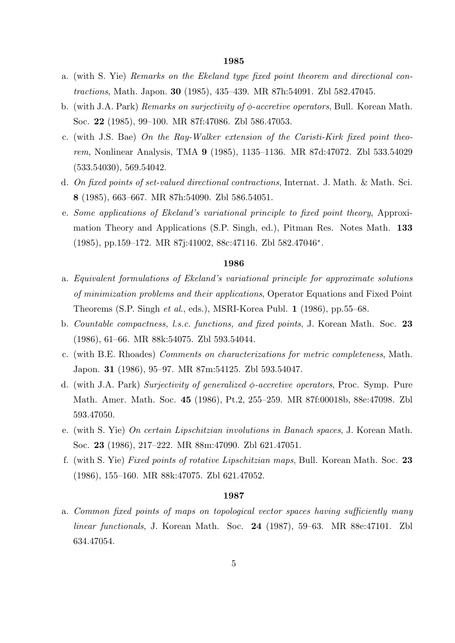- a. (with S. Yie) *Remarks on the Ekeland type fixed point theorem and directional contractions*, Math. Japon. **30** (1985), 435–439. MR 87h:54091. Zbl 582.47045.
- b. (with J.A. Park) *Remarks on surjectivity of ϕ-accretive operators*, Bull. Korean Math. Soc. **22** (1985), 99–100. MR 87f:47086. Zbl 586.47053.
- c. (with J.S. Bae) *On the Ray-Walker extension of the Caristi-Kirk fixed point theorem*, Nonlinear Analysis, TMA **9** (1985), 1135–1136. MR 87d:47072. Zbl 533.54029 (533.54030), 569.54042.
- d. *On fixed points of set-valued directional contractions*, Internat. J. Math. & Math. Sci. **8** (1985), 663–667. MR 87h:54090. Zbl 586.54051.
- e. *Some applications of Ekeland's variational principle to fixed point theory*, Approximation Theory and Applications (S.P. Singh, ed.), Pitman Res. Notes Math. **133** (1985), pp.159–172. MR 87j:41002, 88c:47116. Zbl 582.47046*<sup>∗</sup>* .

## **1986**

- a. *Equivalent formulations of Ekeland's variational principle for approximate solutions of minimization problems and their applications*, Operator Equations and Fixed Point Theorems (S.P. Singh *et al*., eds.), MSRI-Korea Publ. **1** (1986), pp.55–68.
- b. *Countable compactness, l.s.c. functions, and fixed points*, J. Korean Math. Soc. **23** (1986), 61–66. MR 88k:54075. Zbl 593.54044.
- c. (with B.E. Rhoades) *Comments on characterizations for metric completeness*, Math. Japon. **31** (1986), 95–97. MR 87m:54125. Zbl 593.54047.
- d. (with J.A. Park) *Surjectivity of generalized ϕ-accretive operators*, Proc. Symp. Pure Math. Amer. Math. Soc. **45** (1986), Pt.2, 255–259. MR 87f:00018b, 88e:47098. Zbl 593.47050.
- e. (with S. Yie) *On certain Lipschitzian involutions in Banach spaces*, J. Korean Math. Soc. **23** (1986), 217–222. MR 88m:47090. Zbl 621.47051.
- f. (with S. Yie) *Fixed points of rotative Lipschitzian maps*, Bull. Korean Math. Soc. **23** (1986), 155–160. MR 88k:47075. Zbl 621.47052.

#### **1987**

a. *Common fixed points of maps on topological vector spaces having sufficiently many linear functionals*, J. Korean Math. Soc. **24** (1987), 59–63. MR 88e:47101. Zbl 634.47054.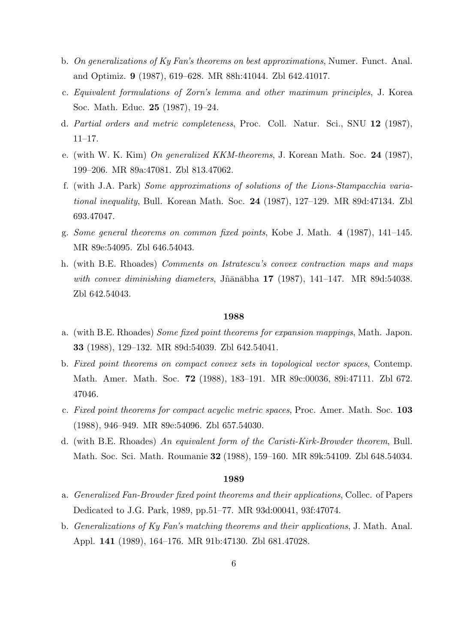- b. *On generalizations of Ky Fan's theorems on best approximations*, Numer. Funct. Anal. and Optimiz. **9** (1987), 619–628. MR 88h:41044. Zbl 642.41017.
- c. *Equivalent formulations of Zorn's lemma and other maximum principles*, J. Korea Soc. Math. Educ. **25** (1987), 19–24.
- d. *Partial orders and metric completeness*, Proc. Coll. Natur. Sci., SNU **12** (1987), 11–17.
- e. (with W. K. Kim) *On generalized KKM-theorems*, J. Korean Math. Soc. **24** (1987), 199–206. MR 89a:47081. Zbl 813.47062.
- f. (with J.A. Park) *Some approximations of solutions of the Lions-Stampacchia variational inequality*, Bull. Korean Math. Soc. **24** (1987), 127–129. MR 89d:47134. Zbl 693.47047.
- g. *Some general theorems on common fixed points*, Kobe J. Math. **4** (1987), 141–145. MR 89e:54095. Zbl 646.54043.
- h. (with B.E. Rhoades) *Comments on Istratescu's convex contraction maps and maps with convex diminishing diameters*, Jñānābha 17 (1987), 141–147. MR 89d:54038. Zbl 642.54043.

- a. (with B.E. Rhoades) *Some fixed point theorems for expansion mappings*, Math. Japon. **33** (1988), 129–132. MR 89d:54039. Zbl 642.54041.
- b. *Fixed point theorems on compact convex sets in topological vector spaces*, Contemp. Math. Amer. Math. Soc. **72** (1988), 183–191. MR 89c:00036, 89i:47111. Zbl 672. 47046.
- c. *Fixed point theorems for compact acyclic metric spaces*, Proc. Amer. Math. Soc. **103** (1988), 946–949. MR 89e:54096. Zbl 657.54030.
- d. (with B.E. Rhoades) *An equivalent form of the Caristi-Kirk-Browder theorem*, Bull. Math. Soc. Sci. Math. Roumanie **32** (1988), 159–160. MR 89k:54109. Zbl 648.54034.

- a. *Generalized Fan-Browder fixed point theorems and their applications*, Collec. of Papers Dedicated to J.G. Park, 1989, pp.51–77. MR 93d:00041, 93f:47074.
- b. *Generalizations of Ky Fan's matching theorems and their applications*, J. Math. Anal. Appl. **141** (1989), 164–176. MR 91b:47130. Zbl 681.47028.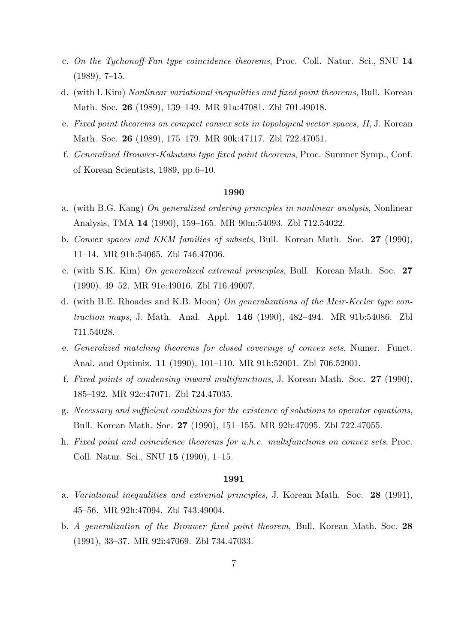- c. *On the Tychonoff-Fan type coincidence theorems*, Proc. Coll. Natur. Sci., SNU **14** (1989), 7–15.
- d. (with I. Kim) *Nonlinear variational inequalities and fixed point theorems*, Bull. Korean Math. Soc. **26** (1989), 139–149. MR 91a:47081. Zbl 701.49018.
- e. *Fixed point theorems on compact convex sets in topological vector spaces, II*, J. Korean Math. Soc. **26** (1989), 175–179. MR 90k:47117. Zbl 722.47051.
- f. *Generalized Brouwer-Kakutani type fixed point theorems*, Proc. Summer Symp., Conf. of Korean Scientists, 1989, pp.6–10.

- a. (with B.G. Kang) *On generalized ordering principles in nonlinear analysis*, Nonlinear Analysis, TMA **14** (1990), 159–165. MR 90m:54093. Zbl 712.54022.
- b. *Convex spaces and KKM families of subsets*, Bull. Korean Math. Soc. **27** (1990), 11–14. MR 91h:54065. Zbl 746.47036.
- c. (with S.K. Kim) *On generalized extremal principles*, Bull. Korean Math. Soc. **27** (1990), 49–52. MR 91e:49016. Zbl 716.49007.
- d. (with B.E. Rhoades and K.B. Moon) *On generalizations of the Meir-Keeler type contraction maps*, J. Math. Anal. Appl. **146** (1990), 482–494. MR 91b:54086. Zbl 711.54028.
- e. *Generalized matching theorems for closed coverings of convex sets*, Numer. Funct. Anal. and Optimiz. **11** (1990), 101–110. MR 91h:52001. Zbl 706.52001.
- f. *Fixed points of condensing inward multifunctions*, J. Korean Math. Soc. **27** (1990), 185–192. MR 92c:47071. Zbl 724.47035.
- g. *Necessary and sufficient conditions for the existence of solutions to operator equations*, Bull. Korean Math. Soc. **27** (1990), 151–155. MR 92b:47095. Zbl 722.47055.
- h. *Fixed point and coincidence theorems for u.h.c. multifunctions on convex sets*, Proc. Coll. Natur. Sci., SNU **15** (1990), 1–15.

- a. *Variational inequalities and extremal principles*, J. Korean Math. Soc. **28** (1991), 45–56. MR 92h:47094. Zbl 743.49004.
- b. *A generalization of the Brouwer fixed point theorem*, Bull. Korean Math. Soc. **28** (1991), 33–37. MR 92i:47069. Zbl 734.47033.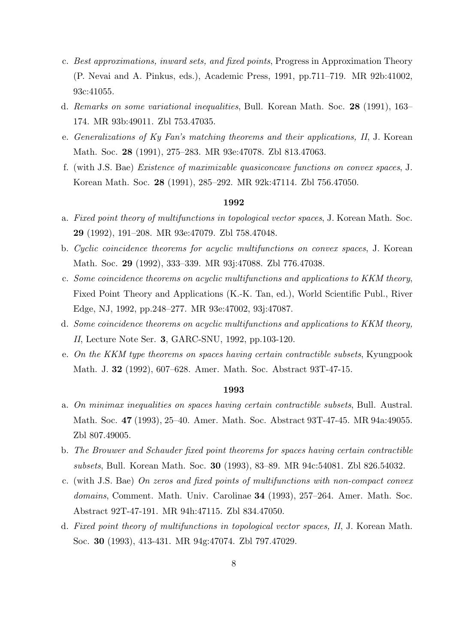- c. *Best approximations, inward sets, and fixed points*, Progress in Approximation Theory (P. Nevai and A. Pinkus, eds.), Academic Press, 1991, pp.711–719. MR 92b:41002, 93c:41055.
- d. *Remarks on some variational inequalities*, Bull. Korean Math. Soc. **28** (1991), 163– 174. MR 93b:49011. Zbl 753.47035.
- e. *Generalizations of Ky Fan's matching theorems and their applications, II*, J. Korean Math. Soc. **28** (1991), 275–283. MR 93e:47078. Zbl 813.47063.
- f. (with J.S. Bae) *Existence of maximizable quasiconcave functions on convex spaces*, J. Korean Math. Soc. **28** (1991), 285–292. MR 92k:47114. Zbl 756.47050.

- a. *Fixed point theory of multifunctions in topological vector spaces*, J. Korean Math. Soc. **29** (1992), 191–208. MR 93e:47079. Zbl 758.47048.
- b. *Cyclic coincidence theorems for acyclic multifunctions on convex spaces*, J. Korean Math. Soc. **29** (1992), 333–339. MR 93j:47088. Zbl 776.47038.
- c. *Some coincidence theorems on acyclic multifunctions and applications to KKM theory*, Fixed Point Theory and Applications (K.-K. Tan, ed.), World Scientific Publ., River Edge, NJ, 1992, pp.248–277. MR 93e:47002, 93j:47087.
- d. *Some coincidence theorems on acyclic multifunctions and applications to KKM theory, II*, Lecture Note Ser. **3**, GARC-SNU, 1992, pp.103-120.
- e. *On the KKM type theorems on spaces having certain contractible subsets*, Kyungpook Math. J. **32** (1992), 607–628. Amer. Math. Soc. Abstract 93T-47-15.

- a. *On minimax inequalities on spaces having certain contractible subsets*, Bull. Austral. Math. Soc. **47** (1993), 25–40. Amer. Math. Soc. Abstract 93T-47-45. MR 94a:49055. Zbl 807.49005.
- b. *The Brouwer and Schauder fixed point theorems for spaces having certain contractible subsets*, Bull. Korean Math. Soc. **30** (1993), 83–89. MR 94c:54081. Zbl 826.54032.
- c. (with J.S. Bae) *On zeros and fixed points of multifunctions with non-compact convex domains*, Comment. Math. Univ. Carolinae **34** (1993), 257–264. Amer. Math. Soc. Abstract 92T-47-191. MR 94h:47115. Zbl 834.47050.
- d. *Fixed point theory of multifunctions in topological vector spaces, II*, J. Korean Math. Soc. **30** (1993), 413-431. MR 94g:47074. Zbl 797.47029.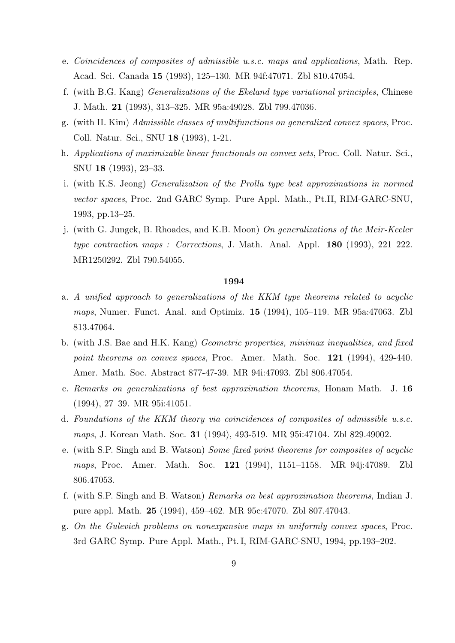- e. *Coincidences of composites of admissible u.s.c. maps and applications*, Math. Rep. Acad. Sci. Canada **15** (1993), 125–130. MR 94f:47071. Zbl 810.47054.
- f. (with B.G. Kang) *Generalizations of the Ekeland type variational principles*, Chinese J. Math. **21** (1993), 313–325. MR 95a:49028. Zbl 799.47036.
- g. (with H. Kim) *Admissible classes of multifunctions on generalized convex spaces*, Proc. Coll. Natur. Sci., SNU **18** (1993), 1-21.
- h. *Applications of maximizable linear functionals on convex sets*, Proc. Coll. Natur. Sci., SNU **18** (1993), 23–33.
- i. (with K.S. Jeong) *Generalization of the Prolla type best approximations in normed vector spaces*, Proc. 2nd GARC Symp. Pure Appl. Math., Pt.II, RIM-GARC-SNU, 1993, pp.13–25.
- j. (with G. Jungck, B. Rhoades, and K.B. Moon) *On generalizations of the Meir-Keeler type contraction maps : Corrections*, J. Math. Anal. Appl. **180** (1993), 221–222. MR1250292. Zbl 790.54055.

- a. *A unified approach to generalizations of the KKM type theorems related to acyclic maps*, Numer. Funct. Anal. and Optimiz. **15** (1994), 105–119. MR 95a:47063. Zbl 813.47064.
- b. (with J.S. Bae and H.K. Kang) *Geometric properties, minimax inequalities, and fixed point theorems on convex spaces*, Proc. Amer. Math. Soc. **121** (1994), 429-440. Amer. Math. Soc. Abstract 877-47-39. MR 94i:47093. Zbl 806.47054.
- c. *Remarks on generalizations of best approximation theorems*, Honam Math. J. **16** (1994), 27–39. MR 95i:41051.
- d. *Foundations of the KKM theory via coincidences of composites of admissible u.s.c. maps*, J. Korean Math. Soc. **31** (1994), 493-519. MR 95i:47104. Zbl 829.49002.
- e. (with S.P. Singh and B. Watson) *Some fixed point theorems for composites of acyclic maps*, Proc. Amer. Math. Soc. **121** (1994), 1151–1158. MR 94j:47089. Zbl 806.47053.
- f. (with S.P. Singh and B. Watson) *Remarks on best approximation theorems*, Indian J. pure appl. Math. **25** (1994), 459–462. MR 95c:47070. Zbl 807.47043.
- g. *On the Gulevich problems on nonexpansive maps in uniformly convex spaces*, Proc. 3rd GARC Symp. Pure Appl. Math., Pt. I, RIM-GARC-SNU, 1994, pp.193–202.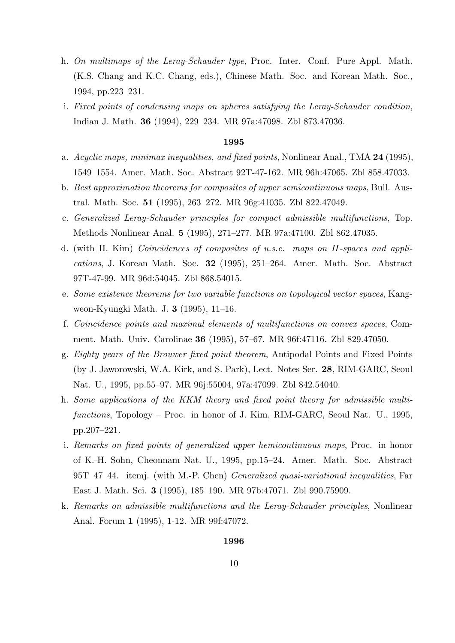- h. *On multimaps of the Leray-Schauder type*, Proc. Inter. Conf. Pure Appl. Math. (K.S. Chang and K.C. Chang, eds.), Chinese Math. Soc. and Korean Math. Soc., 1994, pp.223–231.
- i. *Fixed points of condensing maps on spheres satisfying the Leray-Schauder condition*, Indian J. Math. **36** (1994), 229–234. MR 97a:47098. Zbl 873.47036.

- a. *Acyclic maps, minimax inequalities, and fixed points*, Nonlinear Anal., TMA **24** (1995), 1549–1554. Amer. Math. Soc. Abstract 92T-47-162. MR 96h:47065. Zbl 858.47033.
- b. *Best approximation theorems for composites of upper semicontinuous maps*, Bull. Austral. Math. Soc. **51** (1995), 263–272. MR 96g:41035. Zbl 822.47049.
- c. *Generalized Leray-Schauder principles for compact admissible multifunctions*, Top. Methods Nonlinear Anal. **5** (1995), 271–277. MR 97a:47100. Zbl 862.47035.
- d. (with H. Kim) *Coincidences of composites of u.s.c. maps on H-spaces and applications*, J. Korean Math. Soc. **32** (1995), 251–264. Amer. Math. Soc. Abstract 97T-47-99. MR 96d:54045. Zbl 868.54015.
- e. *Some existence theorems for two variable functions on topological vector spaces*, Kangweon-Kyungki Math. J. **3** (1995), 11–16.
- f. *Coincidence points and maximal elements of multifunctions on convex spaces*, Comment. Math. Univ. Carolinae **36** (1995), 57–67. MR 96f:47116. Zbl 829.47050.
- g. *Eighty years of the Brouwer fixed point theorem*, Antipodal Points and Fixed Points (by J. Jaworowski, W.A. Kirk, and S. Park), Lect. Notes Ser. **28**, RIM-GARC, Seoul Nat. U., 1995, pp.55–97. MR 96j:55004, 97a:47099. Zbl 842.54040.
- h. *Some applications of the KKM theory and fixed point theory for admissible multifunctions*, Topology – Proc. in honor of J. Kim, RIM-GARC, Seoul Nat. U., 1995, pp.207–221.
- i. *Remarks on fixed points of generalized upper hemicontinuous maps*, Proc. in honor of K.-H. Sohn, Cheonnam Nat. U., 1995, pp.15–24. Amer. Math. Soc. Abstract 95T–47–44. itemj. (with M.-P. Chen) *Generalized quasi-variational inequalities*, Far East J. Math. Sci. **3** (1995), 185–190. MR 97b:47071. Zbl 990.75909.
- k. *Remarks on admissible multifunctions and the Leray-Schauder principles*, Nonlinear Anal. Forum **1** (1995), 1-12. MR 99f:47072.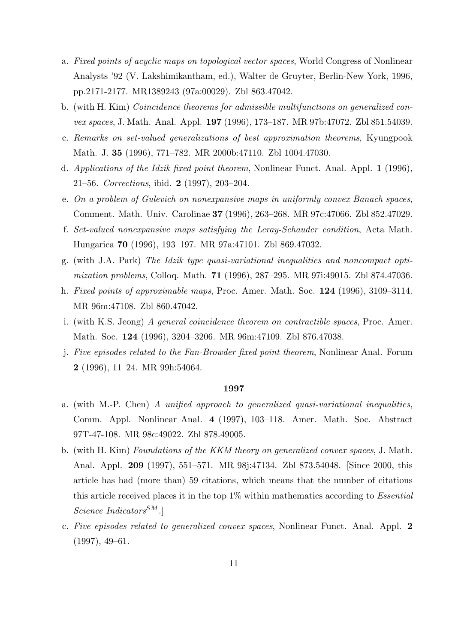- a. *Fixed points of acyclic maps on topological vector spaces*, World Congress of Nonlinear Analysts '92 (V. Lakshimikantham, ed.), Walter de Gruyter, Berlin-New York, 1996, pp.2171-2177. MR1389243 (97a:00029). Zbl 863.47042.
- b. (with H. Kim) *Coincidence theorems for admissible multifunctions on generalized convex spaces*, J. Math. Anal. Appl. **197** (1996), 173–187. MR 97b:47072. Zbl 851.54039.
- c. *Remarks on set-valued generalizations of best approximation theorems*, Kyungpook Math. J. **35** (1996), 771–782. MR 2000b:47110. Zbl 1004.47030.
- d. *Applications of the Idzik fixed point theorem*, Nonlinear Funct. Anal. Appl. **1** (1996), 21–56. *Corrections*, ibid. **2** (1997), 203–204.
- e. *On a problem of Gulevich on nonexpansive maps in uniformly convex Banach spaces*, Comment. Math. Univ. Carolinae **37** (1996), 263–268. MR 97c:47066. Zbl 852.47029.
- f. *Set-valued nonexpansive maps satisfying the Leray-Schauder condition*, Acta Math. Hungarica **70** (1996), 193–197. MR 97a:47101. Zbl 869.47032.
- g. (with J.A. Park) *The Idzik type quasi-variational inequalities and noncompact optimization problems*, Colloq. Math. **71** (1996), 287–295. MR 97i:49015. Zbl 874.47036.
- h. *Fixed points of approximable maps*, Proc. Amer. Math. Soc. **124** (1996), 3109–3114. MR 96m:47108. Zbl 860.47042.
- i. (with K.S. Jeong) *A general coincidence theorem on contractible spaces*, Proc. Amer. Math. Soc. **124** (1996), 3204–3206. MR 96m:47109. Zbl 876.47038.
- j. *Five episodes related to the Fan-Browder fixed point theorem*, Nonlinear Anal. Forum **2** (1996), 11–24. MR 99h:54064.

- a. (with M.-P. Chen) *A unified approach to generalized quasi-variational inequalities*, Comm. Appl. Nonlinear Anal. **4** (1997), 103–118. Amer. Math. Soc. Abstract 97T-47-108. MR 98c:49022. Zbl 878.49005.
- b. (with H. Kim) *Foundations of the KKM theory on generalized convex spaces*, J. Math. Anal. Appl. **209** (1997), 551–571. MR 98j:47134. Zbl 873.54048. [Since 2000, this article has had (more than) 59 citations, which means that the number of citations this article received places it in the top 1% within mathematics according to *Essential Science IndicatorsSM*.]
- c. *Five episodes related to generalized convex spaces*, Nonlinear Funct. Anal. Appl. **2** (1997), 49–61.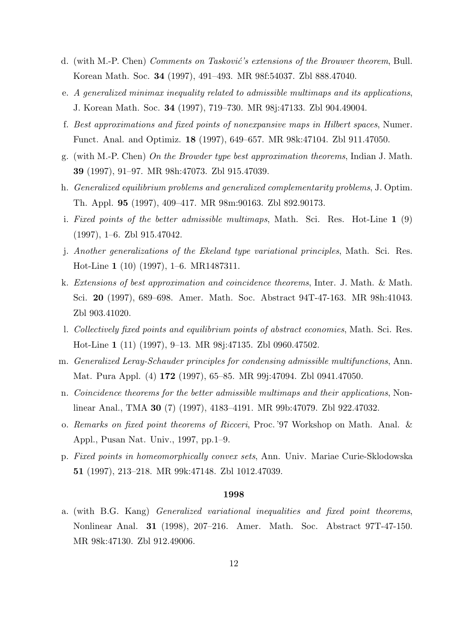- d. (with M.-P. Chen) *Comments on Tasković's extensions of the Brouwer theorem*, Bull. Korean Math. Soc. **34** (1997), 491–493. MR 98f:54037. Zbl 888.47040.
- e. *A generalized minimax inequality related to admissible multimaps and its applications*, J. Korean Math. Soc. **34** (1997), 719–730. MR 98j:47133. Zbl 904.49004.
- f. *Best approximations and fixed points of nonexpansive maps in Hilbert spaces*, Numer. Funct. Anal. and Optimiz. **18** (1997), 649–657. MR 98k:47104. Zbl 911.47050.
- g. (with M.-P. Chen) *On the Browder type best approximation theorems*, Indian J. Math. **39** (1997), 91–97. MR 98h:47073. Zbl 915.47039.
- h. *Generalized equilibrium problems and generalized complementarity problems*, J. Optim. Th. Appl. **95** (1997), 409–417. MR 98m:90163. Zbl 892.90173.
- i. *Fixed points of the better admissible multimaps*, Math. Sci. Res. Hot-Line **1** (9) (1997), 1–6. Zbl 915.47042.
- j. *Another generalizations of the Ekeland type variational principles*, Math. Sci. Res. Hot-Line **1** (10) (1997), 1–6. MR1487311.
- k. *Extensions of best approximation and coincidence theorems*, Inter. J. Math. & Math. Sci. **20** (1997), 689–698. Amer. Math. Soc. Abstract 94T-47-163. MR 98h:41043. Zbl 903.41020.
- l. *Collectively fixed points and equilibrium points of abstract economies*, Math. Sci. Res. Hot-Line **1** (11) (1997), 9–13. MR 98j:47135. Zbl 0960.47502.
- m. *Generalized Leray-Schauder principles for condensing admissible multifunctions*, Ann. Mat. Pura Appl. (4) **172** (1997), 65–85. MR 99j:47094. Zbl 0941.47050.
- n. *Coincidence theorems for the better admissible multimaps and their applications*, Nonlinear Anal., TMA **30** (7) (1997), 4183–4191. MR 99b:47079. Zbl 922.47032.
- o. *Remarks on fixed point theorems of Ricceri*, Proc. '97 Workshop on Math. Anal. & Appl., Pusan Nat. Univ., 1997, pp.1–9.
- p. *Fixed points in homeomorphically convex sets*, Ann. Univ. Mariae Curie-Sklodowska **51** (1997), 213–218. MR 99k:47148. Zbl 1012.47039.

a. (with B.G. Kang) *Generalized variational inequalities and fixed point theorems*, Nonlinear Anal. **31** (1998), 207–216. Amer. Math. Soc. Abstract 97T-47-150. MR 98k:47130. Zbl 912.49006.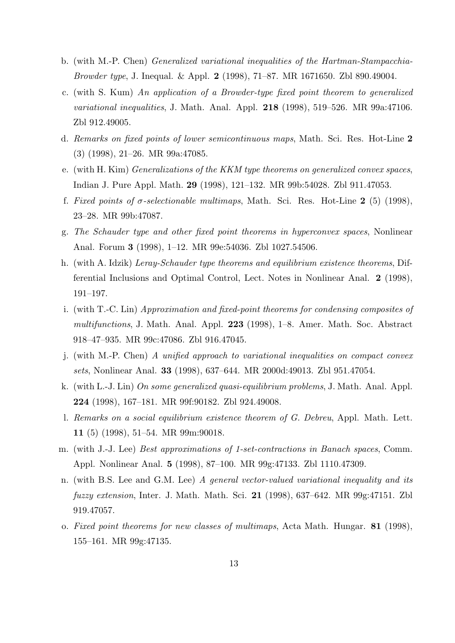- b. (with M.-P. Chen) *Generalized variational inequalities of the Hartman-Stampacchia-Browder type*, J. Inequal. & Appl. **2** (1998), 71–87. MR 1671650. Zbl 890.49004.
- c. (with S. Kum) *An application of a Browder-type fixed point theorem to generalized variational inequalities*, J. Math. Anal. Appl. **218** (1998), 519–526. MR 99a:47106. Zbl 912.49005.
- d. *Remarks on fixed points of lower semicontinuous maps*, Math. Sci. Res. Hot-Line **2** (3) (1998), 21–26. MR 99a:47085.
- e. (with H. Kim) *Generalizations of the KKM type theorems on generalized convex spaces*, Indian J. Pure Appl. Math. **29** (1998), 121–132. MR 99b:54028. Zbl 911.47053.
- f. *Fixed points of σ-selectionable multimaps*, Math. Sci. Res. Hot-Line **2** (5) (1998), 23–28. MR 99b:47087.
- g. *The Schauder type and other fixed point theorems in hyperconvex spaces*, Nonlinear Anal. Forum **3** (1998), 1–12. MR 99e:54036. Zbl 1027.54506.
- h. (with A. Idzik) *Leray-Schauder type theorems and equilibrium existence theorems*, Differential Inclusions and Optimal Control, Lect. Notes in Nonlinear Anal. **2** (1998), 191–197.
- i. (with T.-C. Lin) *Approximation and fixed-point theorems for condensing composites of multifunctions*, J. Math. Anal. Appl. **223** (1998), 1–8. Amer. Math. Soc. Abstract 918–47–935. MR 99c:47086. Zbl 916.47045.
- j. (with M.-P. Chen) *A unified approach to variational inequalities on compact convex sets*, Nonlinear Anal. **33** (1998), 637–644. MR 2000d:49013. Zbl 951.47054.
- k. (with L.-J. Lin) *On some generalized quasi-equilibrium problems*, J. Math. Anal. Appl. **224** (1998), 167–181. MR 99f:90182. Zbl 924.49008.
- l. *Remarks on a social equilibrium existence theorem of G. Debreu*, Appl. Math. Lett. **11** (5) (1998), 51–54. MR 99m:90018.
- m. (with J.-J. Lee) *Best approximations of 1-set-contractions in Banach spaces*, Comm. Appl. Nonlinear Anal. **5** (1998), 87–100. MR 99g:47133. Zbl 1110.47309.
- n. (with B.S. Lee and G.M. Lee) *A general vector-valued variational inequality and its fuzzy extension*, Inter. J. Math. Math. Sci. **21** (1998), 637–642. MR 99g:47151. Zbl 919.47057.
- o. *Fixed point theorems for new classes of multimaps*, Acta Math. Hungar. **81** (1998), 155–161. MR 99g:47135.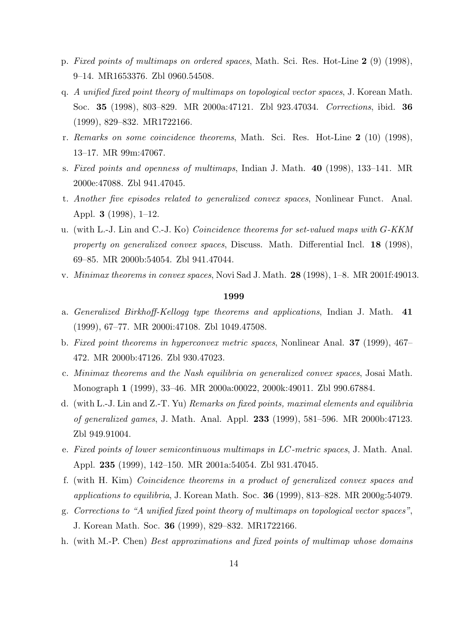- p. *Fixed points of multimaps on ordered spaces*, Math. Sci. Res. Hot-Line **2** (9) (1998), 9–14. MR1653376. Zbl 0960.54508.
- q. *A unified fixed point theory of multimaps on topological vector spaces*, J. Korean Math. Soc. **35** (1998), 803–829. MR 2000a:47121. Zbl 923.47034. *Corrections*, ibid. **36** (1999), 829–832. MR1722166.
- r. *Remarks on some coincidence theorems*, Math. Sci. Res. Hot-Line **2** (10) (1998), 13–17. MR 99m:47067.
- s. *Fixed points and openness of multimaps*, Indian J. Math. **40** (1998), 133–141. MR 2000e:47088. Zbl 941.47045.
- t. *Another five episodes related to generalized convex spaces*, Nonlinear Funct. Anal. Appl. **3** (1998), 1–12.
- u. (with L.-J. Lin and C.-J. Ko) *Coincidence theorems for set-valued maps with G-KKM property on generalized convex spaces*, Discuss. Math. Differential Incl. **18** (1998), 69–85. MR 2000b:54054. Zbl 941.47044.
- v. *Minimax theorems in convex spaces*, Novi Sad J. Math. **28** (1998), 1–8. MR 2001f:49013.

- a. *Generalized Birkhoff-Kellogg type theorems and applications*, Indian J. Math. **41** (1999), 67–77. MR 2000i:47108. Zbl 1049.47508.
- b. *Fixed point theorems in hyperconvex metric spaces*, Nonlinear Anal. **37** (1999), 467– 472. MR 2000b:47126. Zbl 930.47023.
- c. *Minimax theorems and the Nash equilibria on generalized convex spaces*, Josai Math. Monograph **1** (1999), 33–46. MR 2000a:00022, 2000k:49011. Zbl 990.67884.
- d. (with L.-J. Lin and Z.-T. Yu) *Remarks on fixed points, maximal elements and equilibria of generalized games*, J. Math. Anal. Appl. **233** (1999), 581–596. MR 2000b:47123. Zbl 949.91004.
- e. *Fixed points of lower semicontinuous multimaps in LC-metric spaces*, J. Math. Anal. Appl. **235** (1999), 142–150. MR 2001a:54054. Zbl 931.47045.
- f. (with H. Kim) *Coincidence theorems in a product of generalized convex spaces and applications to equilibria*, J. Korean Math. Soc. **36** (1999), 813–828. MR 2000g:54079.
- g. *Corrections to "A unified fixed point theory of multimaps on topological vector spaces"*, J. Korean Math. Soc. **36** (1999), 829–832. MR1722166.
- h. (with M.-P. Chen) *Best approximations and fixed points of multimap whose domains*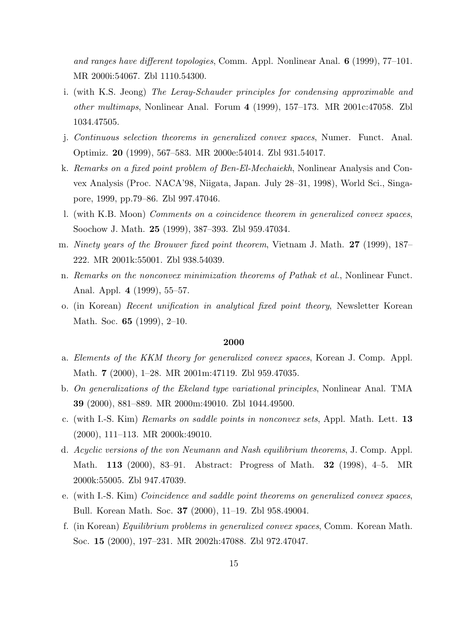*and ranges have different topologies*, Comm. Appl. Nonlinear Anal. **6** (1999), 77–101. MR 2000i:54067. Zbl 1110.54300.

- i. (with K.S. Jeong) *The Leray-Schauder principles for condensing approximable and other multimaps*, Nonlinear Anal. Forum **4** (1999), 157–173. MR 2001c:47058. Zbl 1034.47505.
- j. *Continuous selection theorems in generalized convex spaces*, Numer. Funct. Anal. Optimiz. **20** (1999), 567–583. MR 2000e:54014. Zbl 931.54017.
- k. *Remarks on a fixed point problem of Ben-El-Mechaiekh*, Nonlinear Analysis and Convex Analysis (Proc. NACA'98, Niigata, Japan. July 28–31, 1998), World Sci., Singapore, 1999, pp.79–86. Zbl 997.47046.
- l. (with K.B. Moon) *Comments on a coincidence theorem in generalized convex spaces*, Soochow J. Math. **25** (1999), 387–393. Zbl 959.47034.
- m. *Ninety years of the Brouwer fixed point theorem*, Vietnam J. Math. **27** (1999), 187– 222. MR 2001k:55001. Zbl 938.54039.
- n. *Remarks on the nonconvex minimization theorems of Pathak et al.*, Nonlinear Funct. Anal. Appl. **4** (1999), 55–57.
- o. (in Korean) *Recent unification in analytical fixed point theory*, Newsletter Korean Math. Soc. **65** (1999), 2–10.

- a. *Elements of the KKM theory for generalized convex spaces*, Korean J. Comp. Appl. Math. **7** (2000), 1–28. MR 2001m:47119. Zbl 959.47035.
- b. *On generalizations of the Ekeland type variational principles*, Nonlinear Anal. TMA **39** (2000), 881–889. MR 2000m:49010. Zbl 1044.49500.
- c. (with I.-S. Kim) *Remarks on saddle points in nonconvex sets*, Appl. Math. Lett. **13** (2000), 111–113. MR 2000k:49010.
- d. *Acyclic versions of the von Neumann and Nash equilibrium theorems*, J. Comp. Appl. Math. **113** (2000), 83–91. Abstract: Progress of Math. **32** (1998), 4–5. MR 2000k:55005. Zbl 947.47039.
- e. (with I.-S. Kim) *Coincidence and saddle point theorems on generalized convex spaces*, Bull. Korean Math. Soc. **37** (2000), 11–19. Zbl 958.49004.
- f. (in Korean) *Equilibrium problems in generalized convex spaces*, Comm. Korean Math. Soc. **15** (2000), 197–231. MR 2002h:47088. Zbl 972.47047.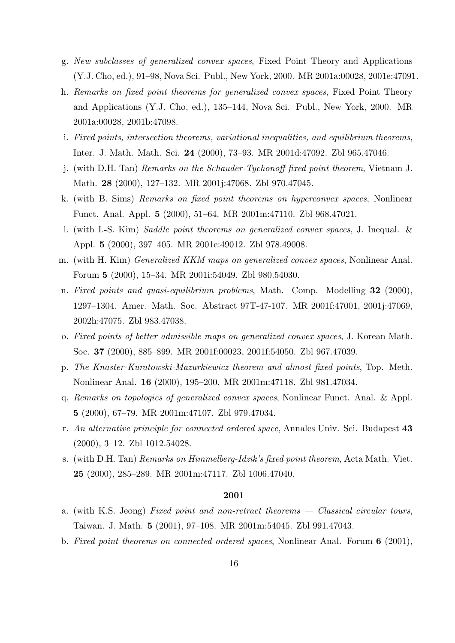- g. *New subclasses of generalized convex spaces*, Fixed Point Theory and Applications (Y.J. Cho, ed.), 91–98, Nova Sci. Publ., New York, 2000. MR 2001a:00028, 2001e:47091.
- h. *Remarks on fixed point theorems for generalized convex spaces*, Fixed Point Theory and Applications (Y.J. Cho, ed.), 135–144, Nova Sci. Publ., New York, 2000. MR 2001a:00028, 2001b:47098.
- i. *Fixed points, intersection theorems, variational inequalities, and equilibrium theorems*, Inter. J. Math. Math. Sci. **24** (2000), 73–93. MR 2001d:47092. Zbl 965.47046.
- j. (with D.H. Tan) *Remarks on the Schauder-Tychonoff fixed point theorem*, Vietnam J. Math. **28** (2000), 127–132. MR 2001j:47068. Zbl 970.47045.
- k. (with B. Sims) *Remarks on fixed point theorems on hyperconvex spaces*, Nonlinear Funct. Anal. Appl. **5** (2000), 51–64. MR 2001m:47110. Zbl 968.47021.
- l. (with I.-S. Kim) *Saddle point theorems on generalized convex spaces*, J. Inequal. & Appl. **5** (2000), 397–405. MR 2001e:49012. Zbl 978.49008.
- m. (with H. Kim) *Generalized KKM maps on generalized convex spaces*, Nonlinear Anal. Forum **5** (2000), 15–34. MR 2001i:54049. Zbl 980.54030.
- n. *Fixed points and quasi-equilibrium problems*, Math. Comp. Modelling **32** (2000), 1297–1304. Amer. Math. Soc. Abstract 97T-47-107. MR 2001f:47001, 2001j:47069, 2002h:47075. Zbl 983.47038.
- o. *Fixed points of better admissible maps on generalized convex spaces*, J. Korean Math. Soc. **37** (2000), 885–899. MR 2001f:00023, 2001f:54050. Zbl 967.47039.
- p. *The Knaster-Kuratowski-Mazurkiewicz theorem and almost fixed points*, Top. Meth. Nonlinear Anal. **16** (2000), 195–200. MR 2001m:47118. Zbl 981.47034.
- q. *Remarks on topologies of generalized convex spaces*, Nonlinear Funct. Anal. & Appl. **5** (2000), 67–79. MR 2001m:47107. Zbl 979.47034.
- r. *An alternative principle for connected ordered space*, Annales Univ. Sci. Budapest **43** (2000), 3–12. Zbl 1012.54028.
- s. (with D.H. Tan) *Remarks on Himmelberg-Idzik's fixed point theorem*, Acta Math. Viet. **25** (2000), 285–289. MR 2001m:47117. Zbl 1006.47040.

- a. (with K.S. Jeong) *Fixed point and non-retract theorems Classical circular tours*, Taiwan. J. Math. **5** (2001), 97–108. MR 2001m:54045. Zbl 991.47043.
- b. *Fixed point theorems on connected ordered spaces*, Nonlinear Anal. Forum **6** (2001),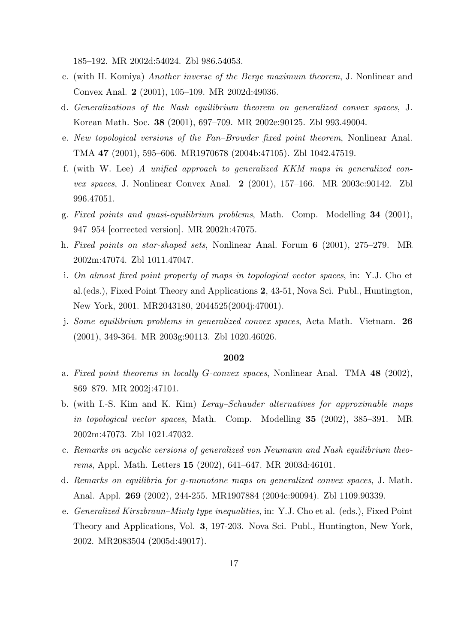185–192. MR 2002d:54024. Zbl 986.54053.

- c. (with H. Komiya) *Another inverse of the Berge maximum theorem*, J. Nonlinear and Convex Anal. **2** (2001), 105–109. MR 2002d:49036.
- d. *Generalizations of the Nash equilibrium theorem on generalized convex spaces*, J. Korean Math. Soc. **38** (2001), 697–709. MR 2002e:90125. Zbl 993.49004.
- e. *New topological versions of the Fan–Browder fixed point theorem*, Nonlinear Anal. TMA **47** (2001), 595–606. MR1970678 (2004b:47105). Zbl 1042.47519.
- f. (with W. Lee) *A unified approach to generalized KKM maps in generalized convex spaces*, J. Nonlinear Convex Anal. **2** (2001), 157–166. MR 2003c:90142. Zbl 996.47051.
- g. *Fixed points and quasi-equilibrium problems*, Math. Comp. Modelling **34** (2001), 947–954 [corrected version]. MR 2002h:47075.
- h. *Fixed points on star-shaped sets*, Nonlinear Anal. Forum **6** (2001), 275–279. MR 2002m:47074. Zbl 1011.47047.
- i. *On almost fixed point property of maps in topological vector spaces*, in: Y.J. Cho et al.(eds.), Fixed Point Theory and Applications **2**, 43-51, Nova Sci. Publ., Huntington, New York, 2001. MR2043180, 2044525(2004j:47001).
- j. *Some equilibrium problems in generalized convex spaces*, Acta Math. Vietnam. **26** (2001), 349-364. MR 2003g:90113. Zbl 1020.46026.

- a. *Fixed point theorems in locally G-convex spaces*, Nonlinear Anal. TMA **48** (2002), 869–879. MR 2002j:47101.
- b. (with I.-S. Kim and K. Kim) *Leray–Schauder alternatives for approximable maps in topological vector spaces*, Math. Comp. Modelling **35** (2002), 385–391. MR 2002m:47073. Zbl 1021.47032.
- c. *Remarks on acyclic versions of generalized von Neumann and Nash equilibrium theorems*, Appl. Math. Letters **15** (2002), 641–647. MR 2003d:46101.
- d. *Remarks on equilibria for g-monotone maps on generalized convex spaces*, J. Math. Anal. Appl. **269** (2002), 244-255. MR1907884 (2004c:90094). Zbl 1109.90339.
- e. *Generalized Kirszbraun–Minty type inequalities*, in: Y.J. Cho et al. (eds.), Fixed Point Theory and Applications, Vol. **3**, 197-203. Nova Sci. Publ., Huntington, New York, 2002. MR2083504 (2005d:49017).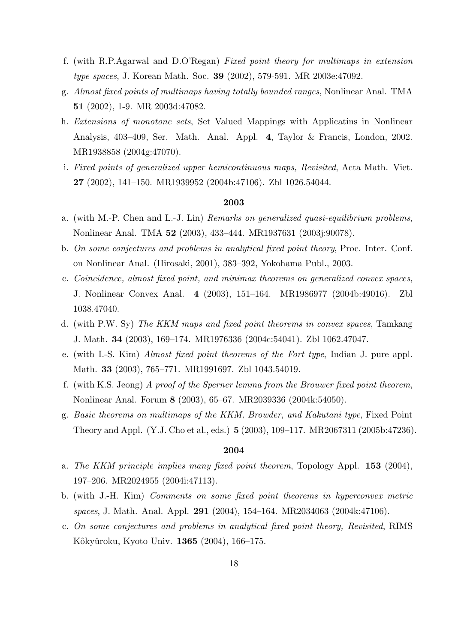- f. (with R.P.Agarwal and D.O'Regan) *Fixed point theory for multimaps in extension type spaces*, J. Korean Math. Soc. **39** (2002), 579-591. MR 2003e:47092.
- g. *Almost fixed points of multimaps having totally bounded ranges*, Nonlinear Anal. TMA **51** (2002), 1-9. MR 2003d:47082.
- h. *Extensions of monotone sets*, Set Valued Mappings with Applicatins in Nonlinear Analysis, 403–409, Ser. Math. Anal. Appl. **4**, Taylor & Francis, London, 2002. MR1938858 (2004g:47070).
- i. *Fixed points of generalized upper hemicontinuous maps, Revisited*, Acta Math. Viet. **27** (2002), 141–150. MR1939952 (2004b:47106). Zbl 1026.54044.

- a. (with M.-P. Chen and L.-J. Lin) *Remarks on generalized quasi-equilibrium problems*, Nonlinear Anal. TMA **52** (2003), 433–444. MR1937631 (2003j:90078).
- b. *On some conjectures and problems in analytical fixed point theory*, Proc. Inter. Conf. on Nonlinear Anal. (Hirosaki, 2001), 383–392, Yokohama Publ., 2003.
- c. *Coincidence, almost fixed point, and minimax theorems on generalized convex spaces*, J. Nonlinear Convex Anal. **4** (2003), 151–164. MR1986977 (2004b:49016). Zbl 1038.47040.
- d. (with P.W. Sy) *The KKM maps and fixed point theorems in convex spaces*, Tamkang J. Math. **34** (2003), 169–174. MR1976336 (2004c:54041). Zbl 1062.47047.
- e. (with I.-S. Kim) *Almost fixed point theorems of the Fort type*, Indian J. pure appl. Math. **33** (2003), 765–771. MR1991697. Zbl 1043.54019.
- f. (with K.S. Jeong) *A proof of the Sperner lemma from the Brouwer fixed point theorem*, Nonlinear Anal. Forum **8** (2003), 65–67. MR2039336 (2004k:54050).
- g. *Basic theorems on multimaps of the KKM, Browder, and Kakutani type*, Fixed Point Theory and Appl. (Y.J. Cho et al., eds.) **5** (2003), 109–117. MR2067311 (2005b:47236).

- a. *The KKM principle implies many fixed point theorem*, Topology Appl. **153** (2004), 197–206. MR2024955 (2004i:47113).
- b. (with J.-H. Kim) *Comments on some fixed point theorems in hyperconvex metric spaces*, J. Math. Anal. Appl. **291** (2004), 154–164. MR2034063 (2004k:47106).
- c. *On some conjectures and problems in analytical fixed point theory, Revisited*, RIMS Kˆokyˆuroku, Kyoto Univ. **1365** (2004), 166–175.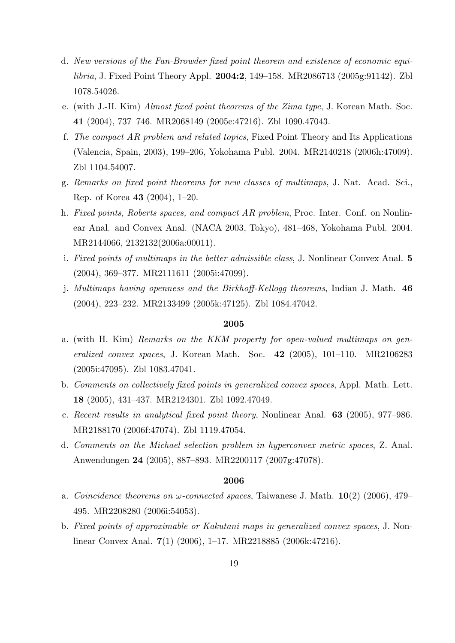- d. *New versions of the Fan-Browder fixed point theorem and existence of economic equilibria*, J. Fixed Point Theory Appl. **2004:2**, 149–158. MR2086713 (2005g:91142). Zbl 1078.54026.
- e. (with J.-H. Kim) *Almost fixed point theorems of the Zima type*, J. Korean Math. Soc. **41** (2004), 737–746. MR2068149 (2005e:47216). Zbl 1090.47043.
- f. *The compact AR problem and related topics*, Fixed Point Theory and Its Applications (Valencia, Spain, 2003), 199–206, Yokohama Publ. 2004. MR2140218 (2006h:47009). Zbl 1104.54007.
- g. *Remarks on fixed point theorems for new classes of multimaps*, J. Nat. Acad. Sci., Rep. of Korea **43** (2004), 1–20.
- h. *Fixed points, Roberts spaces, and compact AR problem*, Proc. Inter. Conf. on Nonlinear Anal. and Convex Anal. (NACA 2003, Tokyo), 481–468, Yokohama Publ. 2004. MR2144066, 2132132(2006a:00011).
- i. *Fixed points of multimaps in the better admissible class*, J. Nonlinear Convex Anal. **5** (2004), 369–377. MR2111611 (2005i:47099).
- j. *Multimaps having openness and the Birkhoff-Kellogg theorems*, Indian J. Math. **46** (2004), 223–232. MR2133499 (2005k:47125). Zbl 1084.47042.

- a. (with H. Kim) *Remarks on the KKM property for open-valued multimaps on generalized convex spaces*, J. Korean Math. Soc. **42** (2005), 101–110. MR2106283 (2005i:47095). Zbl 1083.47041.
- b. *Comments on collectively fixed points in generalized convex spaces*, Appl. Math. Lett. **18** (2005), 431–437. MR2124301. Zbl 1092.47049.
- c. *Recent results in analytical fixed point theory*, Nonlinear Anal. **63** (2005), 977–986. MR2188170 (2006f:47074). Zbl 1119.47054.
- d. *Comments on the Michael selection problem in hyperconvex metric spaces*, Z. Anal. Anwendungen **24** (2005), 887–893. MR2200117 (2007g:47078).

- a. *Coincidence theorems on ω-connected spaces*, Taiwanese J. Math. **10**(2) (2006), 479– 495. MR2208280 (2006i:54053).
- b. *Fixed points of approximable or Kakutani maps in generalized convex spaces*, J. Nonlinear Convex Anal. **7**(1) (2006), 1–17. MR2218885 (2006k:47216).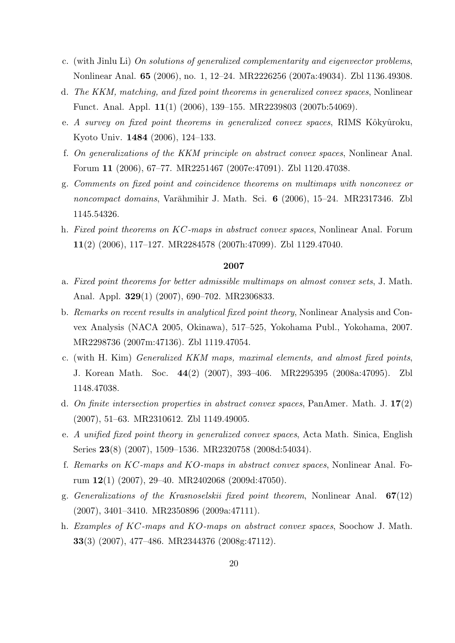- c. (with Jinlu Li) *On solutions of generalized complementarity and eigenvector problems*, Nonlinear Anal. **65** (2006), no. 1, 12–24. MR2226256 (2007a:49034). Zbl 1136.49308.
- d. *The KKM, matching, and fixed point theorems in generalized convex spaces*, Nonlinear Funct. Anal. Appl. **11**(1) (2006), 139–155. MR2239803 (2007b:54069).
- e. *A survey on fixed point theorems in generalized convex spaces*, RIMS Kôkyûroku, Kyoto Univ. **1484** (2006), 124–133.
- f. *On generalizations of the KKM principle on abstract convex spaces*, Nonlinear Anal. Forum **11** (2006), 67–77. MR2251467 (2007e:47091). Zbl 1120.47038.
- g. *Comments on fixed point and coincidence theorems on multimaps with nonconvex or noncompact domains*, Varāhmihir J. Math. Sci. **6** (2006), 15–24. MR2317346. Zbl 1145.54326.
- h. *Fixed point theorems on KC-maps in abstract convex spaces*, Nonlinear Anal. Forum **11**(2) (2006), 117–127. MR2284578 (2007h:47099). Zbl 1129.47040.

- a. *Fixed point theorems for better admissible multimaps on almost convex sets*, J. Math. Anal. Appl. **329**(1) (2007), 690–702. MR2306833.
- b. *Remarks on recent results in analytical fixed point theory*, Nonlinear Analysis and Convex Analysis (NACA 2005, Okinawa), 517–525, Yokohama Publ., Yokohama, 2007. MR2298736 (2007m:47136). Zbl 1119.47054.
- c. (with H. Kim) *Generalized KKM maps, maximal elements, and almost fixed points*, J. Korean Math. Soc. **44**(2) (2007), 393–406. MR2295395 (2008a:47095). Zbl 1148.47038.
- d. *On finite intersection properties in abstract convex spaces*, PanAmer. Math. J. **17**(2) (2007), 51–63. MR2310612. Zbl 1149.49005.
- e. *A unified fixed point theory in generalized convex spaces*, Acta Math. Sinica, English Series **23**(8) (2007), 1509–1536. MR2320758 (2008d:54034).
- f. *Remarks on KC-maps and KO-maps in abstract convex spaces*, Nonlinear Anal. Forum **12**(1) (2007), 29–40. MR2402068 (2009d:47050).
- g. *Generalizations of the Krasnoselskii fixed point theorem*, Nonlinear Anal. **67**(12) (2007), 3401–3410. MR2350896 (2009a:47111).
- h. *Examples of KC-maps and KO-maps on abstract convex spaces*, Soochow J. Math. **33**(3) (2007), 477–486. MR2344376 (2008g:47112).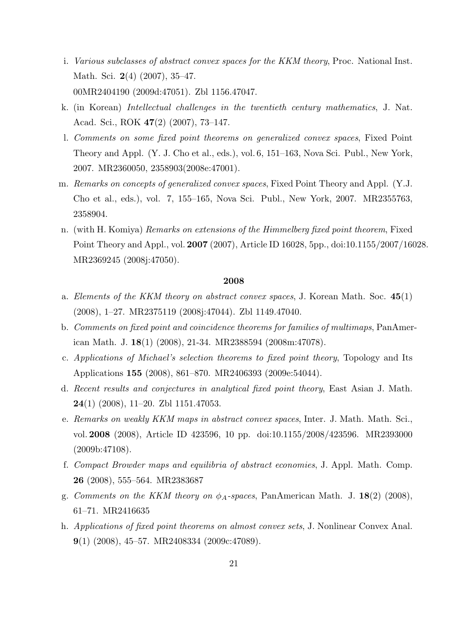- i. *Various subclasses of abstract convex spaces for the KKM theory*, Proc. National Inst. Math. Sci. **2**(4) (2007), 35–47. 00MR2404190 (2009d:47051). Zbl 1156.47047.
- k. (in Korean) *Intellectual challenges in the twentieth century mathematics*, J. Nat. Acad. Sci., ROK **47**(2) (2007), 73–147.
- l. *Comments on some fixed point theorems on generalized convex spaces*, Fixed Point Theory and Appl. (Y. J. Cho et al., eds.), vol. 6, 151–163, Nova Sci. Publ., New York, 2007. MR2360050, 2358903(2008e:47001).
- m. *Remarks on concepts of generalized convex spaces*, Fixed Point Theory and Appl. (Y.J. Cho et al., eds.), vol. 7, 155–165, Nova Sci. Publ., New York, 2007. MR2355763, 2358904.
- n. (with H. Komiya) *Remarks on extensions of the Himmelberg fixed point theorem*, Fixed Point Theory and Appl., vol. **2007** (2007), Article ID 16028, 5pp., doi:10.1155/2007/16028. MR2369245 (2008j:47050).

- a. *Elements of the KKM theory on abstract convex spaces*, J. Korean Math. Soc. **45**(1) (2008), 1–27. MR2375119 (2008j:47044). Zbl 1149.47040.
- b. *Comments on fixed point and coincidence theorems for families of multimaps*, PanAmerican Math. J. **18**(1) (2008), 21-34. MR2388594 (2008m:47078).
- c. *Applications of Michael's selection theorems to fixed point theory*, Topology and Its Applications **155** (2008), 861–870. MR2406393 (2009e:54044).
- d. *Recent results and conjectures in analytical fixed point theory*, East Asian J. Math. **24**(1) (2008), 11–20. Zbl 1151.47053.
- e. *Remarks on weakly KKM maps in abstract convex spaces*, Inter. J. Math. Math. Sci., vol. **2008** (2008), Article ID 423596, 10 pp. doi:10.1155/2008/423596. MR2393000 (2009b:47108).
- f. *Compact Browder maps and equilibria of abstract economies*, J. Appl. Math. Comp. **26** (2008), 555–564. MR2383687
- g. *Comments on the KKM theory on ϕA-spaces*, PanAmerican Math. J. **18**(2) (2008), 61–71. MR2416635
- h. *Applications of fixed point theorems on almost convex sets*, J. Nonlinear Convex Anal. **9**(1) (2008), 45–57. MR2408334 (2009c:47089).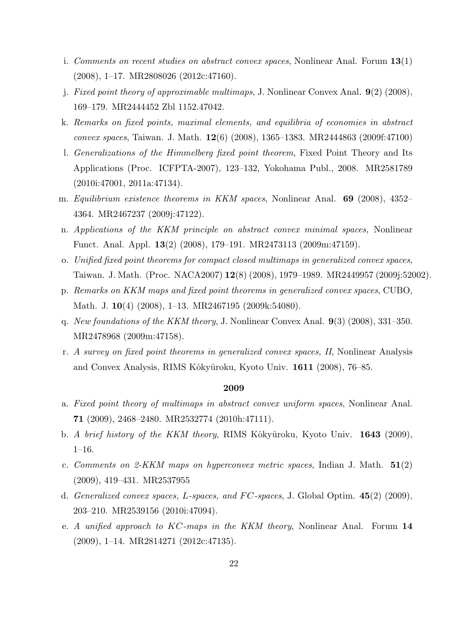- i. *Comments on recent studies on abstract convex spaces*, Nonlinear Anal. Forum **13**(1) (2008), 1–17. MR2808026 (2012c:47160).
- j. *Fixed point theory of approximable multimaps*, J. Nonlinear Convex Anal. **9**(2) (2008), 169–179. MR2444452 Zbl 1152.47042.
- k. *Remarks on fixed points, maximal elements, and equilibria of economies in abstract convex spaces*, Taiwan. J. Math. **12**(6) (2008), 1365–1383. MR2444863 (2009f:47100)
- l. *Generalizations of the Himmelberg fixed point theorem*, Fixed Point Theory and Its Applications (Proc. ICFPTA-2007), 123–132, Yokohama Publ., 2008. MR2581789 (2010i:47001, 2011a:47134).
- m. *Equilibrium existence theorems in KKM spaces*, Nonlinear Anal. **69** (2008), 4352– 4364. MR2467237 (2009j:47122).
- n. *Applications of the KKM principle on abstract convex minimal spaces*, Nonlinear Funct. Anal. Appl. **13**(2) (2008), 179–191. MR2473113 (2009m:47159).
- o. *Unified fixed point theorems for compact closed multimaps in generalized convex spaces*, Taiwan. J. Math. (Proc. NACA2007) **12**(8) (2008), 1979–1989. MR2449957 (2009j:52002).
- p. *Remarks on KKM maps and fixed point theorems in generalized convex spaces*, CUBO, Math. J. **10**(4) (2008), 1–13. MR2467195 (2009k:54080).
- q. *New foundations of the KKM theory*, J. Nonlinear Convex Anal. **9**(3) (2008), 331–350. MR2478968 (2009m:47158).
- r. *A survey on fixed point theorems in generalized convex spaces, II*, Nonlinear Analysis and Convex Analysis, RIMS Kôkyûroku, Kyoto Univ. 1611 (2008), 76–85.

- a. *Fixed point theory of multimaps in abstract convex uniform spaces*, Nonlinear Anal. **71** (2009), 2468–2480. MR2532774 (2010h:47111).
- b. *A brief history of the KKM theory*, RIMS Kôkyûroku, Kyoto Univ. **1643** (2009), 1–16.
- c. *Comments on 2-KKM maps on hyperconvex metric spaces*, Indian J. Math. **51**(2) (2009), 419–431. MR2537955
- d. *Generalized convex spaces, L-spaces, and F C-spaces*, J. Global Optim. **45**(2) (2009), 203–210. MR2539156 (2010i:47094).
- e. *A unified approach to KC-maps in the KKM theory*, Nonlinear Anal. Forum **14** (2009), 1–14. MR2814271 (2012c:47135).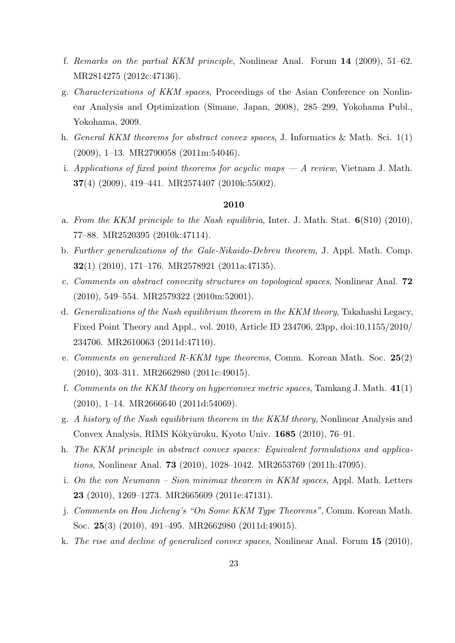- f. *Remarks on the partial KKM principle*, Nonlinear Anal. Forum **14** (2009), 51–62. MR2814275 (2012c:47136).
- g. *Characterizations of KKM spaces*, Proceedings of the Asian Conference on Nonlinear Analysis and Optimization (Simane, Japan, 2008), 285–299, Yokohama Publ., Yokohama, 2009.
- h. *General KKM theorems for abstract convex spaces*, J. Informatics & Math. Sci. 1(1) (2009), 1–13. MR2790058 (2011m:54046).
- i. *Applications of fixed point theorems for acyclic maps A review*, Vietnam J. Math. **37**(4) (2009), 419–441. MR2574407 (2010k:55002).

- a. *From the KKM principle to the Nash equilibria*, Inter. J. Math. Stat. **6**(S10) (2010), 77–88. MR2520395 (2010k:47114).
- b. *Further generalizations of the Gale-Nikaido-Debreu theorem*, J. Appl. Math. Comp. **32**(1) (2010), 171–176. MR2578921 (2011a:47135).
- c. *Comments on abstract convexity structures on topological spaces*, Nonlinear Anal. **72** (2010), 549–554. MR2579322 (2010m:52001).
- d. *Generalizations of the Nash equilibrium theorem in the KKM theory*, Takahashi Legacy, Fixed Point Theory and Appl., vol. 2010, Article ID 234706, 23pp, doi:10.1155/2010/ 234706. MR2610063 (2011d:47110).
- e. *Comments on generalized R-KKM type theorems*, Comm. Korean Math. Soc. **25**(2) (2010), 303–311. MR2662980 (2011c:49015).
- f. *Comments on the KKM theory on hyperconvex metric spaces*, Tamkang J. Math. **41**(1) (2010), 1–14. MR2666640 (2011d:54069).
- g. *A history of the Nash equilibrium theorem in the KKM theory*, Nonlinear Analysis and Convex Analysis, RIMS Kˆokyˆuroku, Kyoto Univ. **1685** (2010), 76–91.
- h. *The KKM principle in abstract convex spaces: Equivalent formulations and applications*, Nonlinear Anal. **73** (2010), 1028–1042. MR2653769 (2011h:47095).
- i. *On the von Neumann Sion minimax theorem in KKM spaces*, Appl. Math. Letters **23** (2010), 1269–1273. MR2665609 (2011e:47131).
- j. *Comments on Hou Jicheng's "On Some KKM Type Theorems"*, Comm. Korean Math. Soc. **25**(3) (2010), 491–495. MR2662980 (2011d:49015).
- k. *The rise and decline of generalized convex spaces*, Nonlinear Anal. Forum **15** (2010),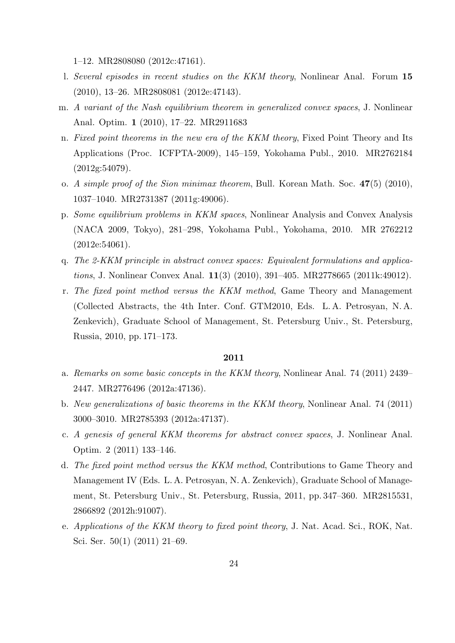1–12. MR2808080 (2012c:47161).

- l. *Several episodes in recent studies on the KKM theory*, Nonlinear Anal. Forum **15** (2010), 13–26. MR2808081 (2012e:47143).
- m. *A variant of the Nash equilibrium theorem in generalized convex spaces*, J. Nonlinear Anal. Optim. **1** (2010), 17–22. MR2911683
- n. *Fixed point theorems in the new era of the KKM theory*, Fixed Point Theory and Its Applications (Proc. ICFPTA-2009), 145–159, Yokohama Publ., 2010. MR2762184 (2012g:54079).
- o. *A simple proof of the Sion minimax theorem*, Bull. Korean Math. Soc. **47**(5) (2010), 1037–1040. MR2731387 (2011g:49006).
- p. *Some equilibrium problems in KKM spaces*, Nonlinear Analysis and Convex Analysis (NACA 2009, Tokyo), 281–298, Yokohama Publ., Yokohama, 2010. MR 2762212 (2012e:54061).
- q. *The 2-KKM principle in abstract convex spaces: Equivalent formulations and applications*, J. Nonlinear Convex Anal. **11**(3) (2010), 391–405. MR2778665 (2011k:49012).
- r. *The fixed point method versus the KKM method*, Game Theory and Management (Collected Abstracts, the 4th Inter. Conf. GTM2010, Eds. L. A. Petrosyan, N. A. Zenkevich), Graduate School of Management, St. Petersburg Univ., St. Petersburg, Russia, 2010, pp. 171–173.

- a. *Remarks on some basic concepts in the KKM theory*, Nonlinear Anal. 74 (2011) 2439– 2447. MR2776496 (2012a:47136).
- b. *New generalizations of basic theorems in the KKM theory*, Nonlinear Anal. 74 (2011) 3000–3010. MR2785393 (2012a:47137).
- c. *A genesis of general KKM theorems for abstract convex spaces*, J. Nonlinear Anal. Optim. 2 (2011) 133–146.
- d. *The fixed point method versus the KKM method*, Contributions to Game Theory and Management IV (Eds. L. A. Petrosyan, N. A. Zenkevich), Graduate School of Management, St. Petersburg Univ., St. Petersburg, Russia, 2011, pp. 347–360. MR2815531, 2866892 (2012h:91007).
- e. *Applications of the KKM theory to fixed point theory*, J. Nat. Acad. Sci., ROK, Nat. Sci. Ser. 50(1) (2011) 21–69.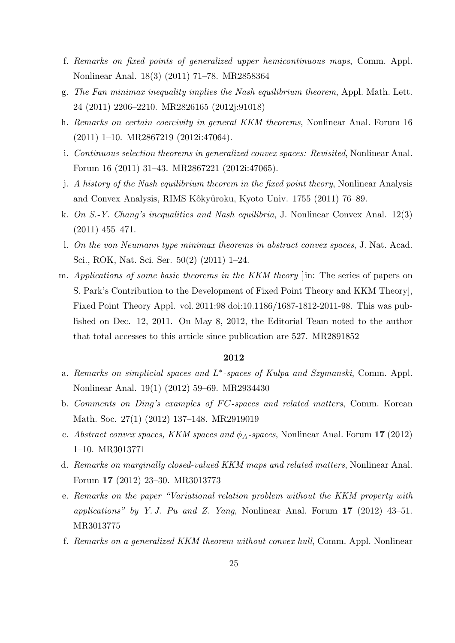- f. *Remarks on fixed points of generalized upper hemicontinuous maps*, Comm. Appl. Nonlinear Anal. 18(3) (2011) 71–78. MR2858364
- g. *The Fan minimax inequality implies the Nash equilibrium theorem*, Appl. Math. Lett. 24 (2011) 2206–2210. MR2826165 (2012j:91018)
- h. *Remarks on certain coercivity in general KKM theorems*, Nonlinear Anal. Forum 16 (2011) 1–10. MR2867219 (2012i:47064).
- i. *Continuous selection theorems in generalized convex spaces: Revisited*, Nonlinear Anal. Forum 16 (2011) 31–43. MR2867221 (2012i:47065).
- j. *A history of the Nash equilibrium theorem in the fixed point theory*, Nonlinear Analysis and Convex Analysis, RIMS Kôkyûroku, Kyoto Univ. 1755 (2011) 76–89.
- k. *On S.-Y. Chang's inequalities and Nash equilibria*, J. Nonlinear Convex Anal. 12(3) (2011) 455–471.
- l. *On the von Neumann type minimax theorems in abstract convex spaces*, J. Nat. Acad. Sci., ROK, Nat. Sci. Ser. 50(2) (2011) 1–24.
- m. *Applications of some basic theorems in the KKM theory* [ in: The series of papers on S. Park's Contribution to the Development of Fixed Point Theory and KKM Theory], Fixed Point Theory Appl. vol. 2011:98 doi:10.1186/1687-1812-2011-98. This was published on Dec. 12, 2011. On May 8, 2012, the Editorial Team noted to the author that total accesses to this article since publication are 527. MR2891852

- a. *Remarks on simplicial spaces and L ∗ -spaces of Kulpa and Szymanski*, Comm. Appl. Nonlinear Anal. 19(1) (2012) 59–69. MR2934430
- b. *Comments on Ding's examples of F C-spaces and related matters*, Comm. Korean Math. Soc. 27(1) (2012) 137–148. MR2919019
- c. *Abstract convex spaces, KKM spaces and ϕA-spaces*, Nonlinear Anal. Forum **17** (2012) 1–10. MR3013771
- d. *Remarks on marginally closed-valued KKM maps and related matters*, Nonlinear Anal. Forum **17** (2012) 23–30. MR3013773
- e. *Remarks on the paper "Variational relation problem without the KKM property with applications" by Y. J. Pu and Z. Yang*, Nonlinear Anal. Forum **17** (2012) 43–51. MR3013775
- f. *Remarks on a generalized KKM theorem without convex hull*, Comm. Appl. Nonlinear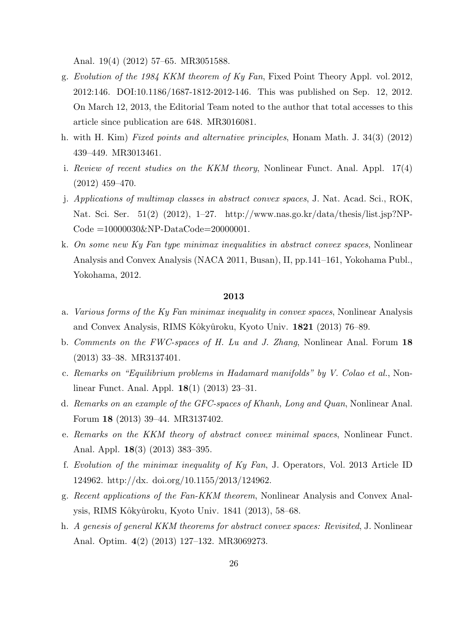Anal. 19(4) (2012) 57–65. MR3051588.

- g. *Evolution of the 1984 KKM theorem of Ky Fan*, Fixed Point Theory Appl. vol. 2012, 2012:146. DOI:10.1186/1687-1812-2012-146. This was published on Sep. 12, 2012. On March 12, 2013, the Editorial Team noted to the author that total accesses to this article since publication are 648. MR3016081.
- h. with H. Kim) *Fixed points and alternative principles*, Honam Math. J. 34(3) (2012) 439–449. MR3013461.
- i. *Review of recent studies on the KKM theory*, Nonlinear Funct. Anal. Appl. 17(4) (2012) 459–470.
- j. *Applications of multimap classes in abstract convex spaces*, J. Nat. Acad. Sci., ROK, Nat. Sci. Ser. 51(2) (2012), 1–27. http://www.nas.go.kr/data/thesis/list.jsp?NP-Code =10000030&NP-DataCode=20000001.
- k. *On some new Ky Fan type minimax inequalities in abstract convex spaces*, Nonlinear Analysis and Convex Analysis (NACA 2011, Busan), II, pp.141–161, Yokohama Publ., Yokohama, 2012.

- a. *Various forms of the Ky Fan minimax inequality in convex spaces*, Nonlinear Analysis and Convex Analysis, RIMS Kˆokyˆuroku, Kyoto Univ. **1821** (2013) 76–89.
- b. *Comments on the FWC-spaces of H. Lu and J. Zhang*, Nonlinear Anal. Forum **18** (2013) 33–38. MR3137401.
- c. *Remarks on "Equilibrium problems in Hadamard manifolds" by V. Colao et al.*, Nonlinear Funct. Anal. Appl. **18**(1) (2013) 23–31.
- d. *Remarks on an example of the GFC-spaces of Khanh, Long and Quan*, Nonlinear Anal. Forum **18** (2013) 39–44. MR3137402.
- e. *Remarks on the KKM theory of abstract convex minimal spaces*, Nonlinear Funct. Anal. Appl. **18**(3) (2013) 383–395.
- f. *Evolution of the minimax inequality of Ky Fan*, J. Operators, Vol. 2013 Article ID 124962. http://dx. doi.org/10.1155/2013/124962.
- g. *Recent applications of the Fan-KKM theorem*, Nonlinear Analysis and Convex Analysis, RIMS Kôkyûroku, Kyoto Univ. 1841 (2013), 58–68.
- h. *A genesis of general KKM theorems for abstract convex spaces: Revisited*, J. Nonlinear Anal. Optim. **4**(2) (2013) 127–132. MR3069273.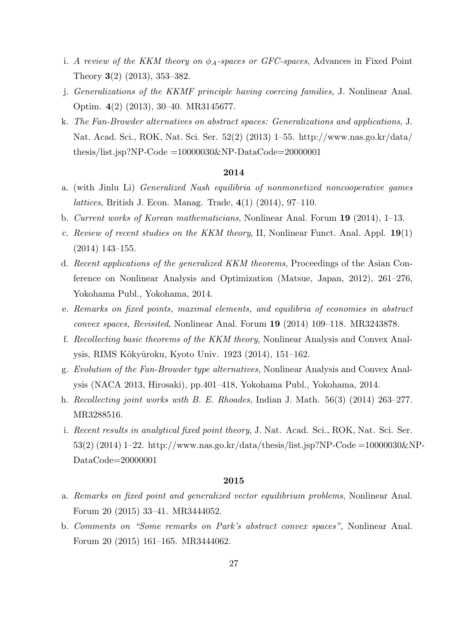- i. *A review of the KKM theory on ϕA-spaces or GFC-spaces*, Advances in Fixed Point Theory **3**(2) (2013), 353–382.
- j. *Generalizations of the KKMF principle having coercing families*, J. Nonlinear Anal. Optim. **4**(2) (2013), 30–40. MR3145677.
- k. *The Fan-Browder alternatives on abstract spaces: Generalizations and applications,* J. Nat. Acad. Sci., ROK, Nat. Sci. Ser. 52(2) (2013) 1–55. http://www.nas.go.kr/data/ thesis/list.jsp?NP-Code  $=10000030$ &NP-DataCode $=20000001$

- a. (with Jinlu Li) *Generalized Nash equilibria of nonmonetized noncooperative games lattices*, British J. Econ. Manag. Trade, **4**(1) (2014), 97–110.
- b. *Current works of Korean mathematicians*, Nonlinear Anal. Forum **19** (2014), 1–13.
- c. *Review of recent studies on the KKM theory*, II, Nonlinear Funct. Anal. Appl. **19**(1) (2014) 143–155.
- d. *Recent applications of the generalized KKM theorems*, Proceedings of the Asian Conference on Nonlinear Analysis and Optimization (Matsue, Japan, 2012), 261–276, Yokohama Publ., Yokohama, 2014.
- e. *Remarks on fixed points, maximal elements, and equilibria of economies in abstract convex spaces, Revisited*, Nonlinear Anal. Forum **19** (2014) 109–118. MR3243878.
- f. *Recollecting basic theorems of the KKM theory*, Nonlinear Analysis and Convex Analysis, RIMS Kôkyûroku, Kyoto Univ. 1923 (2014), 151-162.
- g. *Evolution of the Fan-Browder type alternatives*, Nonlinear Analysis and Convex Analysis (NACA 2013, Hirosaki), pp.401–418, Yokohama Publ., Yokohama, 2014.
- h. *Recollecting joint works with B. E. Rhoades*, Indian J. Math. 56(3) (2014) 263–277. MR3288516.
- i. *Recent results in analytical fixed point theory*, J. Nat. Acad. Sci., ROK, Nat. Sci. Ser.  $53(2)(2014)$  1–22. http://www.nas.go.kr/data/thesis/list.jsp?NP-Code =10000030&NP-DataCode=20000001

- a. *Remarks on fixed point and generalized vector equilibrium problems*, Nonlinear Anal. Forum 20 (2015) 33–41. MR3444052.
- b. *Comments on "Some remarks on Park's abstract convex spaces"*, Nonlinear Anal. Forum 20 (2015) 161–165. MR3444062.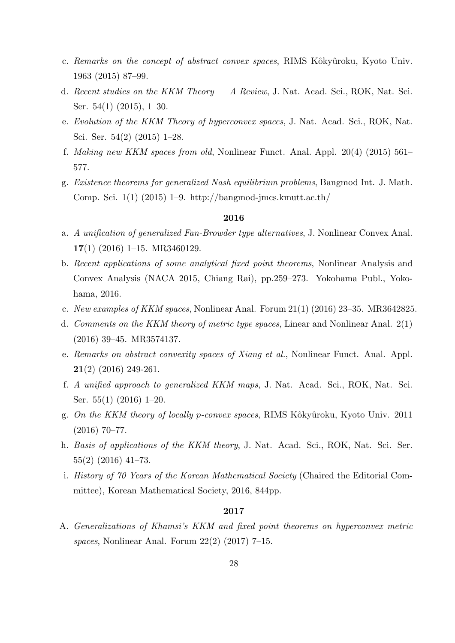- c. *Remarks on the concept of abstract convex spaces*, RIMS Kôkyûroku, Kyoto Univ. 1963 (2015) 87–99.
- d. *Recent studies on the KKM Theory A Review*, J. Nat. Acad. Sci., ROK, Nat. Sci. Ser. 54(1) (2015), 1–30.
- e. *Evolution of the KKM Theory of hyperconvex spaces*, J. Nat. Acad. Sci., ROK, Nat. Sci. Ser. 54(2) (2015) 1–28.
- f. *Making new KKM spaces from old*, Nonlinear Funct. Anal. Appl. 20(4) (2015) 561– 577.
- g. *Existence theorems for generalized Nash equilibrium problems*, Bangmod Int. J. Math. Comp. Sci. 1(1) (2015) 1–9. http://bangmod-jmcs.kmutt.ac.th/

- a. *A unification of generalized Fan-Browder type alternatives*, J. Nonlinear Convex Anal. **17**(1) (2016) 1–15. MR3460129.
- b. *Recent applications of some analytical fixed point theorems*, Nonlinear Analysis and Convex Analysis (NACA 2015, Chiang Rai), pp.259–273. Yokohama Publ., Yokohama, 2016.
- c. *New examples of KKM spaces*, Nonlinear Anal. Forum 21(1) (2016) 23–35. MR3642825.
- d. *Comments on the KKM theory of metric type spaces*, Linear and Nonlinear Anal. 2(1) (2016) 39–45. MR3574137.
- e. *Remarks on abstract convexity spaces of Xiang et al.*, Nonlinear Funct. Anal. Appl. **21**(2) (2016) 249-261.
- f. *A unified approach to generalized KKM maps*, J. Nat. Acad. Sci., ROK, Nat. Sci. Ser. 55(1) (2016) 1–20.
- g. *On the KKM theory of locally p-convex spaces*, RIMS Kˆokyˆuroku, Kyoto Univ. 2011 (2016) 70–77.
- h. *Basis of applications of the KKM theory*, J. Nat. Acad. Sci., ROK, Nat. Sci. Ser. 55(2) (2016) 41–73.
- i. *History of 70 Years of the Korean Mathematical Society* (Chaired the Editorial Committee), Korean Mathematical Society, 2016, 844pp.

## **2017**

A. *Generalizations of Khamsi's KKM and fixed point theorems on hyperconvex metric spaces*, Nonlinear Anal. Forum 22(2) (2017) 7–15.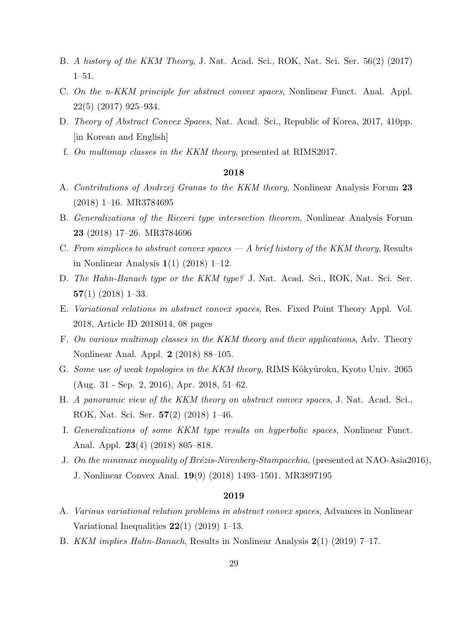- B. *A history of the KKM Theory*, J. Nat. Acad. Sci., ROK, Nat. Sci. Ser. 56(2) (2017) 1–51.
- C. *On the n-KKM principle for abstract convex spaces*, Nonlinear Funct. Anal. Appl. 22(5) (2017) 925–934.
- D. *Theory of Abstract Convex Spaces*, Nat. Acad. Sci., Republic of Korea, 2017, 410pp. [in Korean and English]
- f. *On multimap classes in the KKM theory*, presented at RIMS2017.

- A. *Contributions of Andrzej Granas to the KKM theory*, Nonlinear Analysis Forum **23** (2018) 1–16. MR3784695
- B. *Generalizations of the Ricceri type intersection theorem*, Nonlinear Analysis Forum **23** (2018) 17–26. MR3784696
- C. *From simplices to abstract convex spaces A brief history of the KKM theory*, Results in Nonlinear Analysis **1**(1) (2018) 1–12.
- D. *The Hahn-Banach type or the KKM type?* J. Nat. Acad. Sci., ROK, Nat. Sci. Ser. **57**(1) (2018) 1–33.
- E. *Variational relations in abstract convex spaces*, Res. Fixed Point Theory Appl. Vol. 2018, Article ID 2018014, 08 pages
- F. *On various multimap classes in the KKM theory and their applications*, Adv. Theory Nonlinear Anal. Appl. **2** (2018) 88–105.
- G. *Some use of weak topologies in the KKM theory*, RIMS Kôkyûroku, Kyoto Univ. 2065 (Aug. 31 - Sep. 2, 2016), Apr. 2018, 51–62.
- H. *A panoramic view of the KKM theory on abstract convex spaces*, J. Nat. Acad. Sci., ROK, Nat. Sci. Ser. **57**(2) (2018) 1–46.
- I. *Generalizations of some KKM type results on hyperbolic spaces*, Nonlinear Funct. Anal. Appl. **23**(4) (2018) 805–818.
- J. On the minimax inequality of Brézis-Nirenberg-Stampacchia, (presented at NAO-Asia2016), J. Nonlinear Convex Anal. **19**(9) (2018) 1493–1501. MR3897195

- A. *Various variational relation problems in abstract convex spaces*, Advances in Nonlinear Variational Inequalities **22**(1) (2019) 1–13.
- B. *KKM implies Hahn-Banach*, Results in Nonlinear Analysis **2**(1) (2019) 7–17.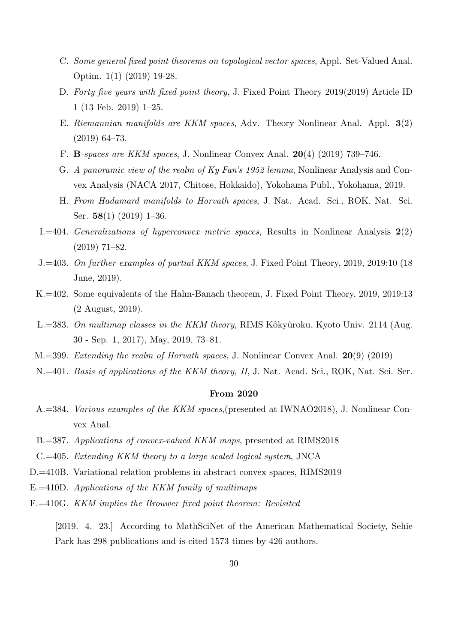- C. *Some general fixed point theorems on topological vector spaces*, Appl. Set-Valued Anal. Optim. 1(1) (2019) 19-28.
- D. *Forty five years with fixed point theory*, J. Fixed Point Theory 2019(2019) Article ID 1 (13 Feb. 2019) 1–25.
- E. *Riemannian manifolds are KKM spaces*, Adv. Theory Nonlinear Anal. Appl. **3**(2) (2019) 64–73.
- F. **B***-spaces are KKM spaces*, J. Nonlinear Convex Anal. **20**(4) (2019) 739–746.
- G. *A panoramic view of the realm of Ky Fan's 1952 lemma*, Nonlinear Analysis and Convex Analysis (NACA 2017, Chitose, Hokkaido), Yokohama Publ., Yokohama, 2019.
- H. *From Hadamard manifolds to Horvath spaces*, J. Nat. Acad. Sci., ROK, Nat. Sci. Ser. **58**(1) (2019) 1–36.
- I.=404. *Generalizations of hyperconvex metric spaces*, Results in Nonlinear Analysis **2**(2) (2019) 71–82.
- J.=403. *On further examples of partial KKM spaces*, J. Fixed Point Theory, 2019, 2019:10 (18 June, 2019).
- K.=402. Some equivalents of the Hahn-Banach theorem, J. Fixed Point Theory, 2019, 2019:13 (2 August, 2019).
- L.=383. On multimap classes in the KKM theory, RIMS Kôkyûroku, Kyoto Univ. 2114 (Aug. 30 - Sep. 1, 2017), May, 2019, 73–81.
- M.=399. *Extending the realm of Horvath spaces*, J. Nonlinear Convex Anal. **20**(9) (2019)
- N.=401. *Basis of applications of the KKM theory, II*, J. Nat. Acad. Sci., ROK, Nat. Sci. Ser.

#### **From 2020**

- A.=384. *Various examples of the KKM spaces*,(presented at IWNAO2018), J. Nonlinear Convex Anal.
- B.=387. *Applications of convex-valued KKM maps*, presented at RIMS2018
- C.=405. *Extending KKM theory to a large scaled logical system*, JNCA
- D.=410B. Variational relation problems in abstract convex spaces, RIMS2019
- E.=410D. *Applications of the KKM family of multimaps*
- F.=410G. *KKM implies the Brouwer fixed point theorem: Revisited*

[2019. 4. 23.] According to MathSciNet of the American Mathematical Society, Sehie Park has 298 publications and is cited 1573 times by 426 authors.